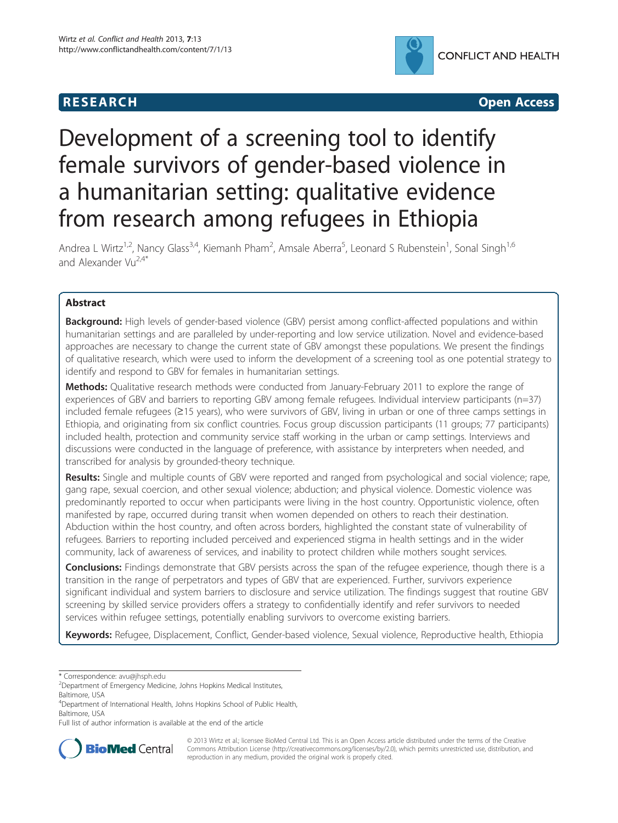# **RESEARCH CHINESEARCH CHINESEARCH CHINESE**



# Development of a screening tool to identify female survivors of gender-based violence in a humanitarian setting: qualitative evidence from research among refugees in Ethiopia

Andrea L Wirtz<sup>1,2</sup>, Nancy Glass<sup>3,4</sup>, Kiemanh Pham<sup>2</sup>, Amsale Aberra<sup>5</sup>, Leonard S Rubenstein<sup>1</sup>, Sonal Singh<sup>1,6</sup> and Alexander Vu<sup>2,4\*</sup>

# Abstract

Background: High levels of gender-based violence (GBV) persist among conflict-affected populations and within humanitarian settings and are paralleled by under-reporting and low service utilization. Novel and evidence-based approaches are necessary to change the current state of GBV amongst these populations. We present the findings of qualitative research, which were used to inform the development of a screening tool as one potential strategy to identify and respond to GBV for females in humanitarian settings.

Methods: Qualitative research methods were conducted from January-February 2011 to explore the range of experiences of GBV and barriers to reporting GBV among female refugees. Individual interview participants (n=37) included female refugees (≥15 years), who were survivors of GBV, living in urban or one of three camps settings in Ethiopia, and originating from six conflict countries. Focus group discussion participants (11 groups; 77 participants) included health, protection and community service staff working in the urban or camp settings. Interviews and discussions were conducted in the language of preference, with assistance by interpreters when needed, and transcribed for analysis by grounded-theory technique.

Results: Single and multiple counts of GBV were reported and ranged from psychological and social violence; rape, gang rape, sexual coercion, and other sexual violence; abduction; and physical violence. Domestic violence was predominantly reported to occur when participants were living in the host country. Opportunistic violence, often manifested by rape, occurred during transit when women depended on others to reach their destination. Abduction within the host country, and often across borders, highlighted the constant state of vulnerability of refugees. Barriers to reporting included perceived and experienced stigma in health settings and in the wider community, lack of awareness of services, and inability to protect children while mothers sought services.

Conclusions: Findings demonstrate that GBV persists across the span of the refugee experience, though there is a transition in the range of perpetrators and types of GBV that are experienced. Further, survivors experience significant individual and system barriers to disclosure and service utilization. The findings suggest that routine GBV screening by skilled service providers offers a strategy to confidentially identify and refer survivors to needed services within refugee settings, potentially enabling survivors to overcome existing barriers.

Keywords: Refugee, Displacement, Conflict, Gender-based violence, Sexual violence, Reproductive health, Ethiopia

\* Correspondence: [avu@jhsph.edu](mailto:avu@jhsph.edu) <sup>2</sup>

Full list of author information is available at the end of the article



© 2013 Wirtz et al.; licensee BioMed Central Ltd. This is an Open Access article distributed under the terms of the Creative Commons Attribution License [\(http://creativecommons.org/licenses/by/2.0\)](http://creativecommons.org/licenses/by/2.0), which permits unrestricted use, distribution, and reproduction in any medium, provided the original work is properly cited.

<sup>&</sup>lt;sup>2</sup>Department of Emergency Medicine, Johns Hopkins Medical Institutes, Baltimore, USA

<sup>4</sup> Department of International Health, Johns Hopkins School of Public Health, Baltimore, USA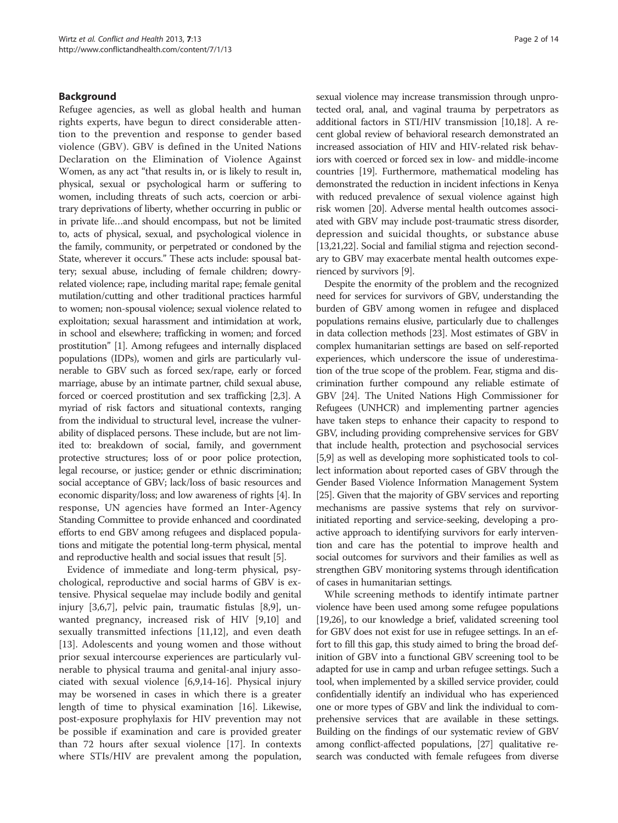## Background

Refugee agencies, as well as global health and human rights experts, have begun to direct considerable attention to the prevention and response to gender based violence (GBV). GBV is defined in the United Nations Declaration on the Elimination of Violence Against Women, as any act "that results in, or is likely to result in, physical, sexual or psychological harm or suffering to women, including threats of such acts, coercion or arbitrary deprivations of liberty, whether occurring in public or in private life…and should encompass, but not be limited to, acts of physical, sexual, and psychological violence in the family, community, or perpetrated or condoned by the State, wherever it occurs." These acts include: spousal battery; sexual abuse, including of female children; dowryrelated violence; rape, including marital rape; female genital mutilation/cutting and other traditional practices harmful to women; non-spousal violence; sexual violence related to exploitation; sexual harassment and intimidation at work, in school and elsewhere; trafficking in women; and forced prostitution" [\[1\]](#page-12-0). Among refugees and internally displaced populations (IDPs), women and girls are particularly vulnerable to GBV such as forced sex/rape, early or forced marriage, abuse by an intimate partner, child sexual abuse, forced or coerced prostitution and sex trafficking [\[2,3\]](#page-12-0). A myriad of risk factors and situational contexts, ranging from the individual to structural level, increase the vulnerability of displaced persons. These include, but are not limited to: breakdown of social, family, and government protective structures; loss of or poor police protection, legal recourse, or justice; gender or ethnic discrimination; social acceptance of GBV; lack/loss of basic resources and economic disparity/loss; and low awareness of rights [\[4](#page-12-0)]. In response, UN agencies have formed an Inter-Agency Standing Committee to provide enhanced and coordinated efforts to end GBV among refugees and displaced populations and mitigate the potential long-term physical, mental and reproductive health and social issues that result [\[5\]](#page-12-0).

Evidence of immediate and long-term physical, psychological, reproductive and social harms of GBV is extensive. Physical sequelae may include bodily and genital injury [[3,6,7\]](#page-12-0), pelvic pain, traumatic fistulas [[8,9\]](#page-12-0), unwanted pregnancy, increased risk of HIV [\[9,10](#page-12-0)] and sexually transmitted infections [\[11,](#page-12-0)[12\]](#page-13-0), and even death [[13\]](#page-13-0). Adolescents and young women and those without prior sexual intercourse experiences are particularly vulnerable to physical trauma and genital-anal injury associated with sexual violence [[6,9,](#page-12-0)[14-16](#page-13-0)]. Physical injury may be worsened in cases in which there is a greater length of time to physical examination [\[16](#page-13-0)]. Likewise, post-exposure prophylaxis for HIV prevention may not be possible if examination and care is provided greater than 72 hours after sexual violence [\[17](#page-13-0)]. In contexts where STIs/HIV are prevalent among the population, sexual violence may increase transmission through unprotected oral, anal, and vaginal trauma by perpetrators as additional factors in STI/HIV transmission [\[10,](#page-12-0)[18](#page-13-0)]. A recent global review of behavioral research demonstrated an increased association of HIV and HIV-related risk behaviors with coerced or forced sex in low- and middle-income countries [\[19\]](#page-13-0). Furthermore, mathematical modeling has demonstrated the reduction in incident infections in Kenya with reduced prevalence of sexual violence against high risk women [\[20\]](#page-13-0). Adverse mental health outcomes associated with GBV may include post-traumatic stress disorder, depression and suicidal thoughts, or substance abuse [[13,21,22](#page-13-0)]. Social and familial stigma and rejection secondary to GBV may exacerbate mental health outcomes experienced by survivors [[9\]](#page-12-0).

Despite the enormity of the problem and the recognized need for services for survivors of GBV, understanding the burden of GBV among women in refugee and displaced populations remains elusive, particularly due to challenges in data collection methods [[23](#page-13-0)]. Most estimates of GBV in complex humanitarian settings are based on self-reported experiences, which underscore the issue of underestimation of the true scope of the problem. Fear, stigma and discrimination further compound any reliable estimate of GBV [\[24\]](#page-13-0). The United Nations High Commissioner for Refugees (UNHCR) and implementing partner agencies have taken steps to enhance their capacity to respond to GBV, including providing comprehensive services for GBV that include health, protection and psychosocial services [[5,9](#page-12-0)] as well as developing more sophisticated tools to collect information about reported cases of GBV through the Gender Based Violence Information Management System [[25](#page-13-0)]. Given that the majority of GBV services and reporting mechanisms are passive systems that rely on survivorinitiated reporting and service-seeking, developing a proactive approach to identifying survivors for early intervention and care has the potential to improve health and social outcomes for survivors and their families as well as strengthen GBV monitoring systems through identification of cases in humanitarian settings.

While screening methods to identify intimate partner violence have been used among some refugee populations [[19,26\]](#page-13-0), to our knowledge a brief, validated screening tool for GBV does not exist for use in refugee settings. In an effort to fill this gap, this study aimed to bring the broad definition of GBV into a functional GBV screening tool to be adapted for use in camp and urban refugee settings. Such a tool, when implemented by a skilled service provider, could confidentially identify an individual who has experienced one or more types of GBV and link the individual to comprehensive services that are available in these settings. Building on the findings of our systematic review of GBV among conflict-affected populations, [\[27](#page-13-0)] qualitative research was conducted with female refugees from diverse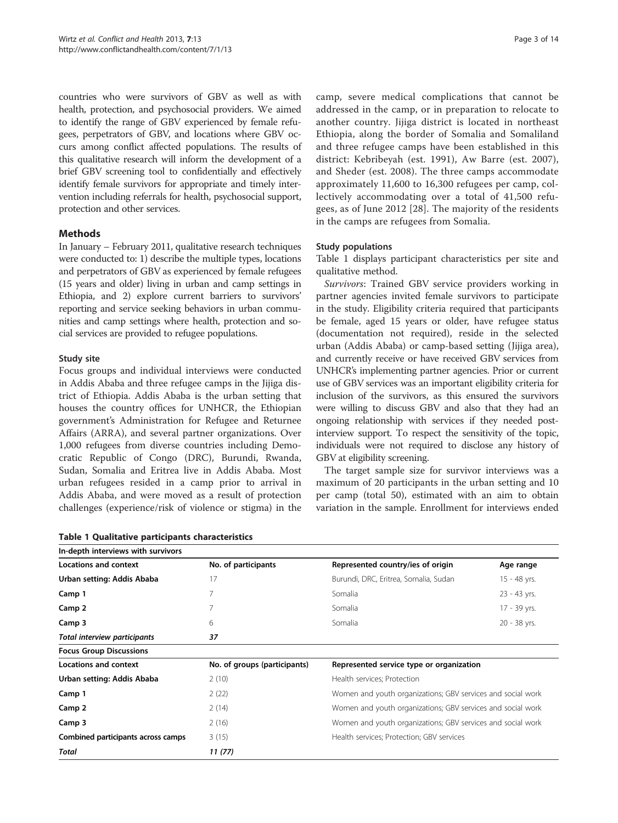countries who were survivors of GBV as well as with health, protection, and psychosocial providers. We aimed to identify the range of GBV experienced by female refugees, perpetrators of GBV, and locations where GBV occurs among conflict affected populations. The results of this qualitative research will inform the development of a brief GBV screening tool to confidentially and effectively identify female survivors for appropriate and timely intervention including referrals for health, psychosocial support, protection and other services.

# Methods

In January – February 2011, qualitative research techniques were conducted to: 1) describe the multiple types, locations and perpetrators of GBV as experienced by female refugees (15 years and older) living in urban and camp settings in Ethiopia, and 2) explore current barriers to survivors' reporting and service seeking behaviors in urban communities and camp settings where health, protection and social services are provided to refugee populations.

# Study site

Focus groups and individual interviews were conducted in Addis Ababa and three refugee camps in the Jijiga district of Ethiopia. Addis Ababa is the urban setting that houses the country offices for UNHCR, the Ethiopian government's Administration for Refugee and Returnee Affairs (ARRA), and several partner organizations. Over 1,000 refugees from diverse countries including Democratic Republic of Congo (DRC), Burundi, Rwanda, Sudan, Somalia and Eritrea live in Addis Ababa. Most urban refugees resided in a camp prior to arrival in Addis Ababa, and were moved as a result of protection challenges (experience/risk of violence or stigma) in the

| Table 1 Qualitative participants characteristics |  |  |
|--------------------------------------------------|--|--|
|--------------------------------------------------|--|--|

camp, severe medical complications that cannot be addressed in the camp, or in preparation to relocate to another country. Jijiga district is located in northeast Ethiopia, along the border of Somalia and Somaliland and three refugee camps have been established in this district: Kebribeyah (est. 1991), Aw Barre (est. 2007), and Sheder (est. 2008). The three camps accommodate approximately 11,600 to 16,300 refugees per camp, collectively accommodating over a total of 41,500 refugees, as of June 2012 [[28](#page-13-0)]. The majority of the residents in the camps are refugees from Somalia.

# Study populations

Table 1 displays participant characteristics per site and qualitative method.

Survivors: Trained GBV service providers working in partner agencies invited female survivors to participate in the study. Eligibility criteria required that participants be female, aged 15 years or older, have refugee status (documentation not required), reside in the selected urban (Addis Ababa) or camp-based setting (Jijiga area), and currently receive or have received GBV services from UNHCR's implementing partner agencies. Prior or current use of GBV services was an important eligibility criteria for inclusion of the survivors, as this ensured the survivors were willing to discuss GBV and also that they had an ongoing relationship with services if they needed postinterview support. To respect the sensitivity of the topic, individuals were not required to disclose any history of GBV at eligibility screening.

The target sample size for survivor interviews was a maximum of 20 participants in the urban setting and 10 per camp (total 50), estimated with an aim to obtain variation in the sample. Enrollment for interviews ended

| In-depth interviews with survivors  |                              |                                                             |                |  |  |
|-------------------------------------|------------------------------|-------------------------------------------------------------|----------------|--|--|
| <b>Locations and context</b>        | No. of participants          | Represented country/ies of origin                           | Age range      |  |  |
| Urban setting: Addis Ababa          | 17                           | Burundi, DRC, Eritrea, Somalia, Sudan                       | 15 - 48 yrs.   |  |  |
| Camp 1                              |                              | Somalia                                                     | $23 - 43$ yrs. |  |  |
| Camp 2                              |                              | Somalia                                                     | 17 - 39 yrs.   |  |  |
| Camp 3                              | 6                            | Somalia                                                     | 20 - 38 yrs.   |  |  |
| <b>Total interview participants</b> | 37                           |                                                             |                |  |  |
| <b>Focus Group Discussions</b>      |                              |                                                             |                |  |  |
| Locations and context               | No. of groups (participants) | Represented service type or organization                    |                |  |  |
| Urban setting: Addis Ababa          | 2(10)                        | Health services; Protection                                 |                |  |  |
| Camp 1                              | 2(22)                        | Women and youth organizations; GBV services and social work |                |  |  |
| Camp 2                              | 2(14)                        | Women and youth organizations; GBV services and social work |                |  |  |
| Camp 3                              | 2(16)                        | Women and youth organizations; GBV services and social work |                |  |  |
| Combined participants across camps  | 3(15)                        | Health services; Protection; GBV services                   |                |  |  |
| Total                               | 11 (77)                      |                                                             |                |  |  |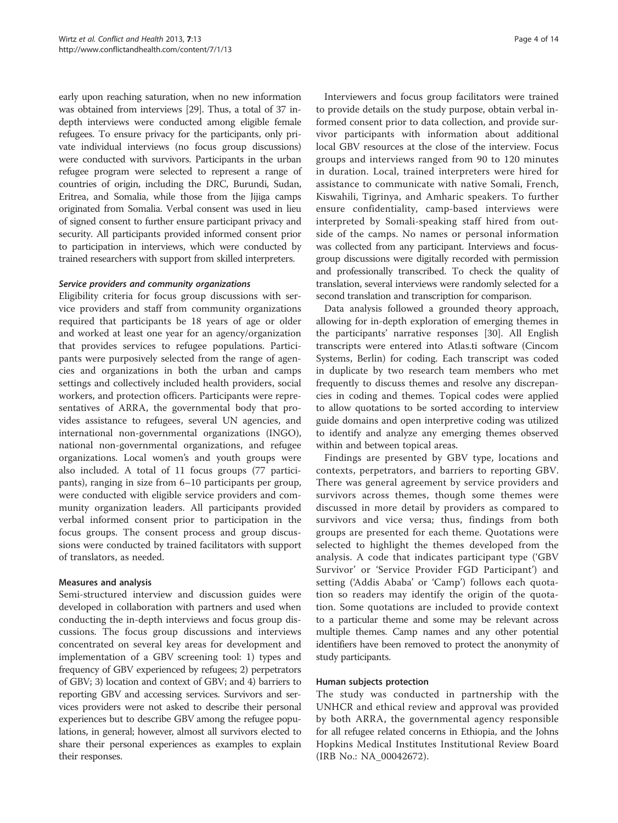early upon reaching saturation, when no new information was obtained from interviews [\[29\]](#page-13-0). Thus, a total of 37 indepth interviews were conducted among eligible female refugees. To ensure privacy for the participants, only private individual interviews (no focus group discussions) were conducted with survivors. Participants in the urban refugee program were selected to represent a range of countries of origin, including the DRC, Burundi, Sudan, Eritrea, and Somalia, while those from the Jijiga camps originated from Somalia. Verbal consent was used in lieu of signed consent to further ensure participant privacy and security. All participants provided informed consent prior to participation in interviews, which were conducted by trained researchers with support from skilled interpreters.

## Service providers and community organizations

Eligibility criteria for focus group discussions with service providers and staff from community organizations required that participants be 18 years of age or older and worked at least one year for an agency/organization that provides services to refugee populations. Participants were purposively selected from the range of agencies and organizations in both the urban and camps settings and collectively included health providers, social workers, and protection officers. Participants were representatives of ARRA, the governmental body that provides assistance to refugees, several UN agencies, and international non-governmental organizations (INGO), national non-governmental organizations, and refugee organizations. Local women's and youth groups were also included. A total of 11 focus groups (77 participants), ranging in size from 6–10 participants per group, were conducted with eligible service providers and community organization leaders. All participants provided verbal informed consent prior to participation in the focus groups. The consent process and group discussions were conducted by trained facilitators with support of translators, as needed.

#### Measures and analysis

Semi-structured interview and discussion guides were developed in collaboration with partners and used when conducting the in-depth interviews and focus group discussions. The focus group discussions and interviews concentrated on several key areas for development and implementation of a GBV screening tool: 1) types and frequency of GBV experienced by refugees; 2) perpetrators of GBV; 3) location and context of GBV; and 4) barriers to reporting GBV and accessing services. Survivors and services providers were not asked to describe their personal experiences but to describe GBV among the refugee populations, in general; however, almost all survivors elected to share their personal experiences as examples to explain their responses.

Interviewers and focus group facilitators were trained to provide details on the study purpose, obtain verbal informed consent prior to data collection, and provide survivor participants with information about additional local GBV resources at the close of the interview. Focus groups and interviews ranged from 90 to 120 minutes in duration. Local, trained interpreters were hired for assistance to communicate with native Somali, French, Kiswahili, Tigrinya, and Amharic speakers. To further ensure confidentiality, camp-based interviews were interpreted by Somali-speaking staff hired from outside of the camps. No names or personal information was collected from any participant. Interviews and focusgroup discussions were digitally recorded with permission and professionally transcribed. To check the quality of translation, several interviews were randomly selected for a second translation and transcription for comparison.

Data analysis followed a grounded theory approach, allowing for in-depth exploration of emerging themes in the participants' narrative responses [[30\]](#page-13-0). All English transcripts were entered into Atlas.ti software (Cincom Systems, Berlin) for coding. Each transcript was coded in duplicate by two research team members who met frequently to discuss themes and resolve any discrepancies in coding and themes. Topical codes were applied to allow quotations to be sorted according to interview guide domains and open interpretive coding was utilized to identify and analyze any emerging themes observed within and between topical areas.

Findings are presented by GBV type, locations and contexts, perpetrators, and barriers to reporting GBV. There was general agreement by service providers and survivors across themes, though some themes were discussed in more detail by providers as compared to survivors and vice versa; thus, findings from both groups are presented for each theme. Quotations were selected to highlight the themes developed from the analysis. A code that indicates participant type ('GBV Survivor' or 'Service Provider FGD Participant') and setting ('Addis Ababa' or 'Camp') follows each quotation so readers may identify the origin of the quotation. Some quotations are included to provide context to a particular theme and some may be relevant across multiple themes. Camp names and any other potential identifiers have been removed to protect the anonymity of study participants.

#### Human subjects protection

The study was conducted in partnership with the UNHCR and ethical review and approval was provided by both ARRA, the governmental agency responsible for all refugee related concerns in Ethiopia, and the Johns Hopkins Medical Institutes Institutional Review Board (IRB No.: NA\_00042672).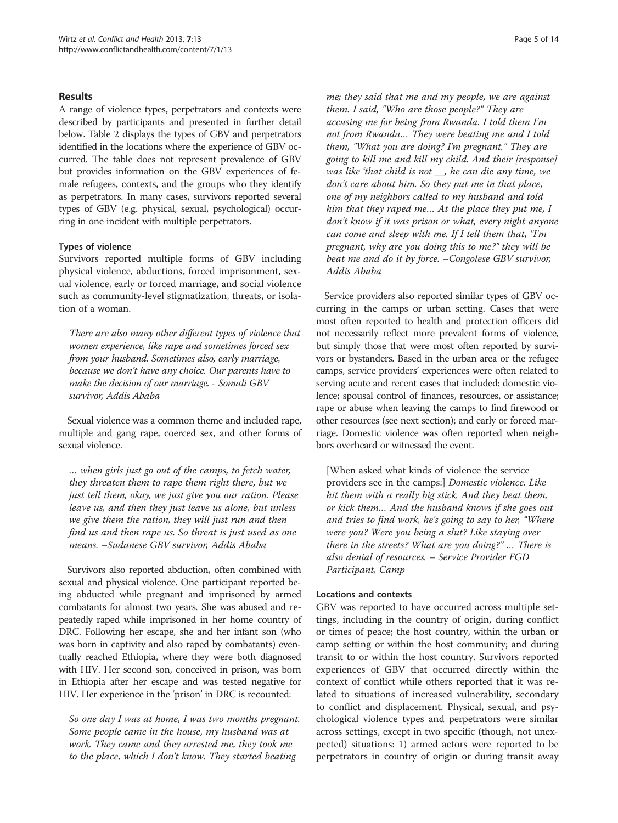## Results

A range of violence types, perpetrators and contexts were described by participants and presented in further detail below. Table [2](#page-5-0) displays the types of GBV and perpetrators identified in the locations where the experience of GBV occurred. The table does not represent prevalence of GBV but provides information on the GBV experiences of female refugees, contexts, and the groups who they identify as perpetrators. In many cases, survivors reported several types of GBV (e.g. physical, sexual, psychological) occurring in one incident with multiple perpetrators.

#### Types of violence

Survivors reported multiple forms of GBV including physical violence, abductions, forced imprisonment, sexual violence, early or forced marriage, and social violence such as community-level stigmatization, threats, or isolation of a woman.

There are also many other different types of violence that women experience, like rape and sometimes forced sex from your husband. Sometimes also, early marriage, because we don't have any choice. Our parents have to make the decision of our marriage. - Somali GBV survivor, Addis Ababa

Sexual violence was a common theme and included rape, multiple and gang rape, coerced sex, and other forms of sexual violence.

… when girls just go out of the camps, to fetch water, they threaten them to rape them right there, but we just tell them, okay, we just give you our ration. Please leave us, and then they just leave us alone, but unless we give them the ration, they will just run and then find us and then rape us. So threat is just used as one means. –Sudanese GBV survivor, Addis Ababa

Survivors also reported abduction, often combined with sexual and physical violence. One participant reported being abducted while pregnant and imprisoned by armed combatants for almost two years. She was abused and repeatedly raped while imprisoned in her home country of DRC. Following her escape, she and her infant son (who was born in captivity and also raped by combatants) eventually reached Ethiopia, where they were both diagnosed with HIV. Her second son, conceived in prison, was born in Ethiopia after her escape and was tested negative for HIV. Her experience in the 'prison' in DRC is recounted:

So one day I was at home, I was two months pregnant. Some people came in the house, my husband was at work. They came and they arrested me, they took me to the place, which I don't know. They started beating

me; they said that me and my people, we are against them. I said, "Who are those people?" They are accusing me for being from Rwanda. I told them I'm not from Rwanda… They were beating me and I told them, "What you are doing? I'm pregnant." They are going to kill me and kill my child. And their [response] was like 'that child is not  $\Box$ , he can die any time, we don't care about him. So they put me in that place, one of my neighbors called to my husband and told him that they raped me… At the place they put me, I don't know if it was prison or what, every night anyone can come and sleep with me. If I tell them that, "I'm pregnant, why are you doing this to me?" they will be beat me and do it by force. –Congolese GBV survivor, Addis Ababa

Service providers also reported similar types of GBV occurring in the camps or urban setting. Cases that were most often reported to health and protection officers did not necessarily reflect more prevalent forms of violence, but simply those that were most often reported by survivors or bystanders. Based in the urban area or the refugee camps, service providers' experiences were often related to serving acute and recent cases that included: domestic violence; spousal control of finances, resources, or assistance; rape or abuse when leaving the camps to find firewood or other resources (see next section); and early or forced marriage. Domestic violence was often reported when neighbors overheard or witnessed the event.

[When asked what kinds of violence the service providers see in the camps:] Domestic violence. Like hit them with a really big stick. And they beat them, or kick them… And the husband knows if she goes out and tries to find work, he's going to say to her, "Where were you? Were you being a slut? Like staying over there in the streets? What are you doing?" … There is also denial of resources. – Service Provider FGD Participant, Camp

## Locations and contexts

GBV was reported to have occurred across multiple settings, including in the country of origin, during conflict or times of peace; the host country, within the urban or camp setting or within the host community; and during transit to or within the host country. Survivors reported experiences of GBV that occurred directly within the context of conflict while others reported that it was related to situations of increased vulnerability, secondary to conflict and displacement. Physical, sexual, and psychological violence types and perpetrators were similar across settings, except in two specific (though, not unexpected) situations: 1) armed actors were reported to be perpetrators in country of origin or during transit away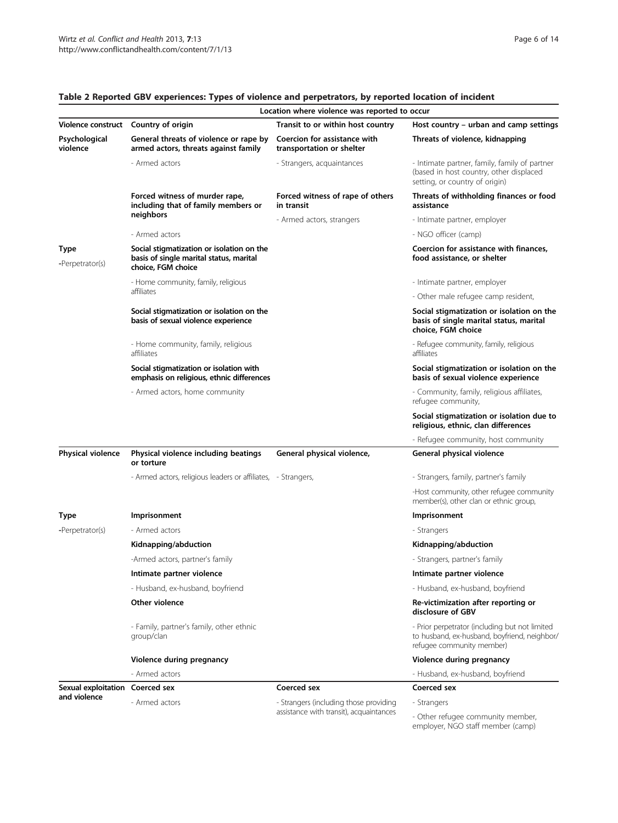| Location where violence was reported to occur |                                                                                                            |                                                                                   |                                                                                                                             |  |
|-----------------------------------------------|------------------------------------------------------------------------------------------------------------|-----------------------------------------------------------------------------------|-----------------------------------------------------------------------------------------------------------------------------|--|
| Violence construct                            | Country of origin                                                                                          | Transit to or within host country                                                 | Host country – urban and camp settings                                                                                      |  |
| Psychological<br>violence                     | General threats of violence or rape by<br>armed actors, threats against family                             | Coercion for assistance with<br>transportation or shelter                         | Threats of violence, kidnapping                                                                                             |  |
|                                               | - Armed actors                                                                                             | - Strangers, acquaintances                                                        | - Intimate partner, family, family of partner<br>(based in host country, other displaced<br>setting, or country of origin)  |  |
|                                               | Forced witness of murder rape,<br>including that of family members or<br>neighbors                         | Forced witness of rape of others<br>in transit                                    | Threats of withholding finances or food<br>assistance                                                                       |  |
|                                               |                                                                                                            | - Armed actors, strangers                                                         | - Intimate partner, employer                                                                                                |  |
|                                               | - Armed actors                                                                                             |                                                                                   | - NGO officer (camp)                                                                                                        |  |
| Type<br>-Perpetrator(s)                       | Social stigmatization or isolation on the<br>basis of single marital status, marital<br>choice, FGM choice |                                                                                   | Coercion for assistance with finances.<br>food assistance, or shelter                                                       |  |
|                                               | - Home community, family, religious                                                                        |                                                                                   | - Intimate partner, employer                                                                                                |  |
|                                               | affiliates                                                                                                 |                                                                                   | - Other male refugee camp resident,                                                                                         |  |
|                                               | Social stigmatization or isolation on the<br>basis of sexual violence experience                           |                                                                                   | Social stigmatization or isolation on the<br>basis of single marital status, marital<br>choice, FGM choice                  |  |
|                                               | - Home community, family, religious<br>affiliates                                                          |                                                                                   | - Refugee community, family, religious<br>affiliates                                                                        |  |
|                                               | Social stigmatization or isolation with<br>emphasis on religious, ethnic differences                       |                                                                                   | Social stigmatization or isolation on the<br>basis of sexual violence experience                                            |  |
|                                               | - Armed actors, home community                                                                             |                                                                                   | - Community, family, religious affiliates,<br>refugee community,                                                            |  |
|                                               |                                                                                                            |                                                                                   | Social stigmatization or isolation due to<br>religious, ethnic, clan differences                                            |  |
|                                               |                                                                                                            |                                                                                   | - Refugee community, host community                                                                                         |  |
| Physical violence                             | Physical violence including beatings<br>or torture                                                         | General physical violence,                                                        | General physical violence                                                                                                   |  |
|                                               | - Armed actors, religious leaders or affiliates, - Strangers,                                              |                                                                                   | - Strangers, family, partner's family                                                                                       |  |
|                                               |                                                                                                            |                                                                                   | -Host community, other refugee community<br>member(s), other clan or ethnic group,                                          |  |
| Type                                          | Imprisonment                                                                                               |                                                                                   | Imprisonment                                                                                                                |  |
| -Perpetrator(s)                               | - Armed actors                                                                                             |                                                                                   | - Strangers                                                                                                                 |  |
|                                               | Kidnapping/abduction                                                                                       |                                                                                   | Kidnapping/abduction                                                                                                        |  |
|                                               | -Armed actors, partner's family                                                                            |                                                                                   | - Strangers, partner's family                                                                                               |  |
|                                               | Intimate partner violence                                                                                  |                                                                                   | Intimate partner violence                                                                                                   |  |
|                                               | - Husband, ex-husband, boyfriend                                                                           |                                                                                   | - Husband, ex-husband, boyfriend                                                                                            |  |
|                                               | Other violence                                                                                             |                                                                                   | Re-victimization after reporting or<br>disclosure of GBV                                                                    |  |
|                                               | - Family, partner's family, other ethnic<br>group/clan                                                     |                                                                                   | - Prior perpetrator (including but not limited<br>to husband, ex-husband, boyfriend, neighbor/<br>refugee community member) |  |
|                                               | Violence during pregnancy                                                                                  |                                                                                   | Violence during pregnancy                                                                                                   |  |
|                                               | - Armed actors                                                                                             |                                                                                   | - Husband, ex-husband, boyfriend                                                                                            |  |
| Sexual exploitation Coerced sex               |                                                                                                            | Coerced sex                                                                       | Coerced sex                                                                                                                 |  |
| and violence                                  | - Armed actors                                                                                             | - Strangers (including those providing<br>assistance with transit), acquaintances | - Strangers                                                                                                                 |  |
|                                               |                                                                                                            |                                                                                   | - Other refugee community member,<br>employer, NGO staff member (camp)                                                      |  |

# <span id="page-5-0"></span>Table 2 Reported GBV experiences: Types of violence and perpetrators, by reported location of incident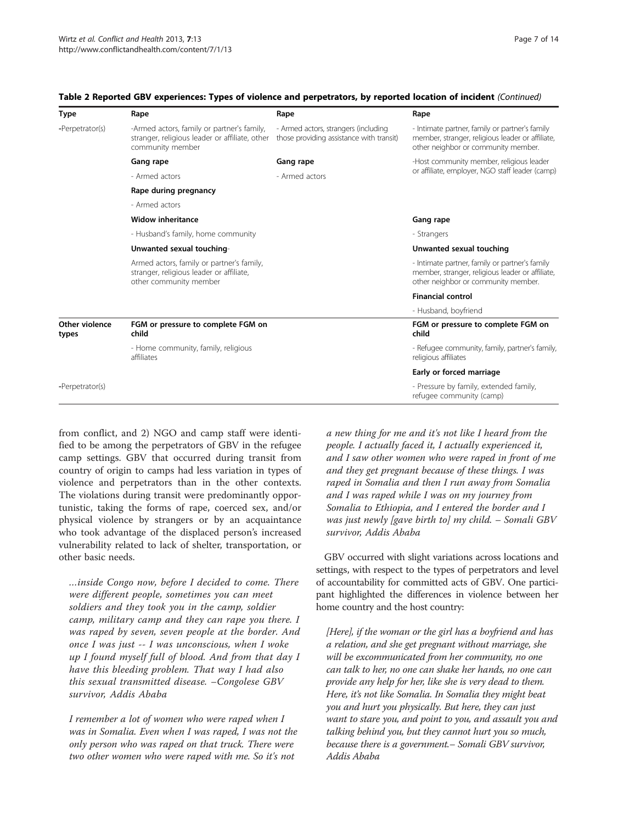| <b>Type</b>             | Rape                                                                                                             | Rape                                                                             | Rape                                                                                                                                      |
|-------------------------|------------------------------------------------------------------------------------------------------------------|----------------------------------------------------------------------------------|-------------------------------------------------------------------------------------------------------------------------------------------|
| -Perpetrator(s)         | -Armed actors, family or partner's family,<br>stranger, religious leader or affiliate, other<br>community member | - Armed actors, strangers (including<br>those providing assistance with transit) | - Intimate partner, family or partner's family<br>member, stranger, religious leader or affiliate,<br>other neighbor or community member. |
|                         | Gang rape<br>Gang rape                                                                                           |                                                                                  | -Host community member, religious leader                                                                                                  |
|                         | - Armed actors                                                                                                   | - Armed actors                                                                   | or affiliate, employer, NGO staff leader (camp)                                                                                           |
|                         | Rape during pregnancy                                                                                            |                                                                                  |                                                                                                                                           |
|                         | - Armed actors                                                                                                   |                                                                                  |                                                                                                                                           |
|                         | <b>Widow inheritance</b>                                                                                         |                                                                                  | Gang rape                                                                                                                                 |
|                         | - Husband's family, home community                                                                               |                                                                                  | - Strangers                                                                                                                               |
|                         | Unwanted sexual touching-                                                                                        |                                                                                  | Unwanted sexual touching                                                                                                                  |
|                         | Armed actors, family or partner's family,<br>stranger, religious leader or affiliate,<br>other community member  |                                                                                  | - Intimate partner, family or partner's family<br>member, stranger, religious leader or affiliate,<br>other neighbor or community member. |
|                         |                                                                                                                  |                                                                                  | <b>Financial control</b>                                                                                                                  |
|                         |                                                                                                                  |                                                                                  | - Husband, boyfriend                                                                                                                      |
| Other violence<br>types | FGM or pressure to complete FGM on<br>child                                                                      |                                                                                  | FGM or pressure to complete FGM on<br>child                                                                                               |
|                         | - Home community, family, religious<br>affiliates                                                                |                                                                                  | - Refugee community, family, partner's family,<br>religious affiliates                                                                    |
|                         |                                                                                                                  |                                                                                  | Early or forced marriage                                                                                                                  |
| -Perpetrator(s)         |                                                                                                                  |                                                                                  | - Pressure by family, extended family,<br>refugee community (camp)                                                                        |

#### Table 2 Reported GBV experiences: Types of violence and perpetrators, by reported location of incident (Continued)

from conflict, and 2) NGO and camp staff were identified to be among the perpetrators of GBV in the refugee camp settings. GBV that occurred during transit from country of origin to camps had less variation in types of violence and perpetrators than in the other contexts. The violations during transit were predominantly opportunistic, taking the forms of rape, coerced sex, and/or physical violence by strangers or by an acquaintance who took advantage of the displaced person's increased vulnerability related to lack of shelter, transportation, or other basic needs.

…inside Congo now, before I decided to come. There were different people, sometimes you can meet soldiers and they took you in the camp, soldier camp, military camp and they can rape you there. I was raped by seven, seven people at the border. And once  $I$  was just  $-I$  was unconscious, when  $I$  woke up I found myself full of blood. And from that day I have this bleeding problem. That way I had also this sexual transmitted disease. –Congolese GBV survivor, Addis Ababa

I remember a lot of women who were raped when I was in Somalia. Even when I was raped, I was not the only person who was raped on that truck. There were two other women who were raped with me. So it's not

a new thing for me and it's not like I heard from the people. I actually faced it, I actually experienced it, and I saw other women who were raped in front of me and they get pregnant because of these things. I was raped in Somalia and then I run away from Somalia and I was raped while I was on my journey from Somalia to Ethiopia, and I entered the border and I was just newly [gave birth to] my child. – Somali GBV survivor, Addis Ababa

GBV occurred with slight variations across locations and settings, with respect to the types of perpetrators and level of accountability for committed acts of GBV. One participant highlighted the differences in violence between her home country and the host country:

[Here], if the woman or the girl has a boyfriend and has a relation, and she get pregnant without marriage, she will be excommunicated from her community, no one can talk to her, no one can shake her hands, no one can provide any help for her, like she is very dead to them. Here, it's not like Somalia. In Somalia they might beat you and hurt you physically. But here, they can just want to stare you, and point to you, and assault you and talking behind you, but they cannot hurt you so much, because there is a government.– Somali GBV survivor, Addis Ababa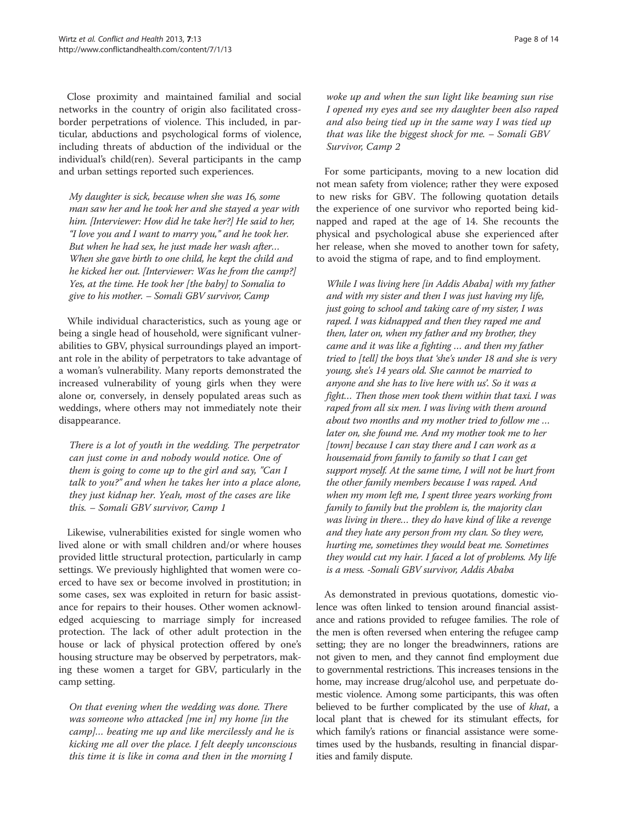Close proximity and maintained familial and social networks in the country of origin also facilitated crossborder perpetrations of violence. This included, in particular, abductions and psychological forms of violence, including threats of abduction of the individual or the individual's child(ren). Several participants in the camp and urban settings reported such experiences.

My daughter is sick, because when she was 16, some man saw her and he took her and she stayed a year with him. [Interviewer: How did he take her?] He said to her, "I love you and I want to marry you," and he took her. But when he had sex, he just made her wash after… When she gave birth to one child, he kept the child and he kicked her out. [Interviewer: Was he from the camp?] Yes, at the time. He took her [the baby] to Somalia to give to his mother. – Somali GBV survivor, Camp

While individual characteristics, such as young age or being a single head of household, were significant vulnerabilities to GBV, physical surroundings played an important role in the ability of perpetrators to take advantage of a woman's vulnerability. Many reports demonstrated the increased vulnerability of young girls when they were alone or, conversely, in densely populated areas such as weddings, where others may not immediately note their disappearance.

There is a lot of youth in the wedding. The perpetrator can just come in and nobody would notice. One of them is going to come up to the girl and say, "Can I talk to you?" and when he takes her into a place alone, they just kidnap her. Yeah, most of the cases are like this. – Somali GBV survivor, Camp 1

Likewise, vulnerabilities existed for single women who lived alone or with small children and/or where houses provided little structural protection, particularly in camp settings. We previously highlighted that women were coerced to have sex or become involved in prostitution; in some cases, sex was exploited in return for basic assistance for repairs to their houses. Other women acknowledged acquiescing to marriage simply for increased protection. The lack of other adult protection in the house or lack of physical protection offered by one's housing structure may be observed by perpetrators, making these women a target for GBV, particularly in the camp setting.

On that evening when the wedding was done. There was someone who attacked [me in] my home [in the camp]… beating me up and like mercilessly and he is kicking me all over the place. I felt deeply unconscious this time it is like in coma and then in the morning I

woke up and when the sun light like beaming sun rise I opened my eyes and see my daughter been also raped and also being tied up in the same way I was tied up that was like the biggest shock for me. – Somali GBV Survivor, Camp 2

For some participants, moving to a new location did not mean safety from violence; rather they were exposed to new risks for GBV. The following quotation details the experience of one survivor who reported being kidnapped and raped at the age of 14. She recounts the physical and psychological abuse she experienced after her release, when she moved to another town for safety, to avoid the stigma of rape, and to find employment.

While I was living here [in Addis Ababa] with my father and with my sister and then I was just having my life, just going to school and taking care of my sister, I was raped. I was kidnapped and then they raped me and then, later on, when my father and my brother, they came and it was like a fighting … and then my father tried to [tell] the boys that 'she's under 18 and she is very young, she's 14 years old. She cannot be married to anyone and she has to live here with us'. So it was a fight… Then those men took them within that taxi. I was raped from all six men. I was living with them around about two months and my mother tried to follow me … later on, she found me. And my mother took me to her  $[town]$  because  $I$  can stay there and  $I$  can work as a housemaid from family to family so that I can get support myself. At the same time, I will not be hurt from the other family members because I was raped. And when my mom left me, I spent three years working from family to family but the problem is, the majority clan was living in there… they do have kind of like a revenge and they hate any person from my clan. So they were, hurting me, sometimes they would beat me. Sometimes they would cut my hair. I faced a lot of problems. My life is a mess. -Somali GBV survivor, Addis Ababa

As demonstrated in previous quotations, domestic violence was often linked to tension around financial assistance and rations provided to refugee families. The role of the men is often reversed when entering the refugee camp setting; they are no longer the breadwinners, rations are not given to men, and they cannot find employment due to governmental restrictions. This increases tensions in the home, may increase drug/alcohol use, and perpetuate domestic violence. Among some participants, this was often believed to be further complicated by the use of *khat*, a local plant that is chewed for its stimulant effects, for which family's rations or financial assistance were sometimes used by the husbands, resulting in financial disparities and family dispute.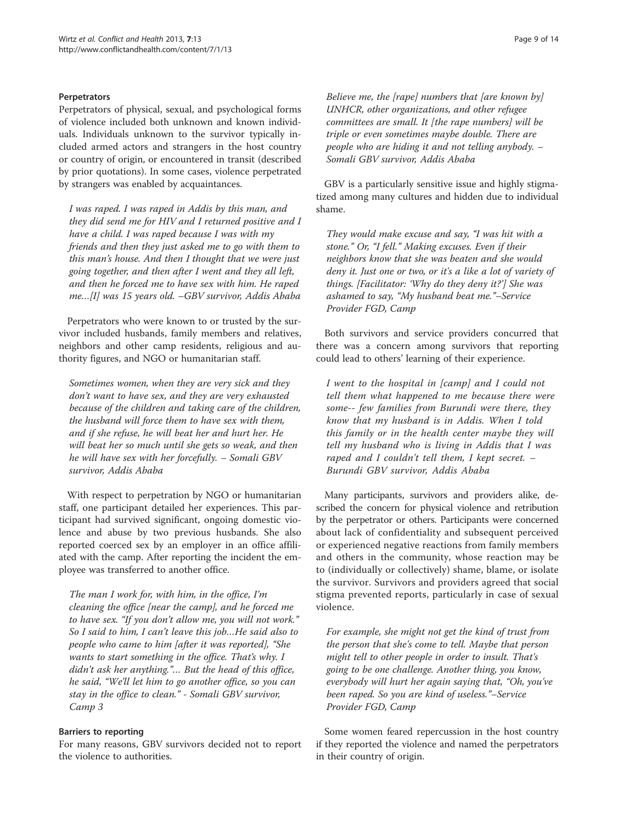#### Perpetrators

Perpetrators of physical, sexual, and psychological forms of violence included both unknown and known individuals. Individuals unknown to the survivor typically included armed actors and strangers in the host country or country of origin, or encountered in transit (described by prior quotations). In some cases, violence perpetrated by strangers was enabled by acquaintances.

I was raped. I was raped in Addis by this man, and they did send me for HIV and I returned positive and I have a child. I was raped because I was with my friends and then they just asked me to go with them to this man's house. And then I thought that we were just going together, and then after I went and they all left, and then he forced me to have sex with him. He raped me…[I] was 15 years old. –GBV survivor, Addis Ababa

Perpetrators who were known to or trusted by the survivor included husbands, family members and relatives, neighbors and other camp residents, religious and authority figures, and NGO or humanitarian staff.

Sometimes women, when they are very sick and they don't want to have sex, and they are very exhausted because of the children and taking care of the children, the husband will force them to have sex with them, and if she refuse, he will beat her and hurt her. He will beat her so much until she gets so weak, and then he will have sex with her forcefully. – Somali GBV survivor, Addis Ababa

With respect to perpetration by NGO or humanitarian staff, one participant detailed her experiences. This participant had survived significant, ongoing domestic violence and abuse by two previous husbands. She also reported coerced sex by an employer in an office affiliated with the camp. After reporting the incident the employee was transferred to another office.

The man I work for, with him, in the office, I'm cleaning the office [near the camp], and he forced me to have sex. "If you don't allow me, you will not work." So I said to him, I can't leave this job…He said also to people who came to him [after it was reported], "She wants to start something in the office. That's why. I didn't ask her anything."… But the head of this office, he said, "We'll let him to go another office, so you can stay in the office to clean." - Somali GBV survivor, Camp 3

#### Barriers to reporting

For many reasons, GBV survivors decided not to report the violence to authorities.

Believe me, the  $[rape]$  numbers that  $[are known by]$ UNHCR, other organizations, and other refugee committees are small. It [the rape numbers] will be triple or even sometimes maybe double. There are people who are hiding it and not telling anybody. – Somali GBV survivor, Addis Ababa

GBV is a particularly sensitive issue and highly stigmatized among many cultures and hidden due to individual shame.

They would make excuse and say, "I was hit with a stone." Or, "I fell." Making excuses. Even if their neighbors know that she was beaten and she would deny it. Just one or two, or it's a like a lot of variety of things. [Facilitator: 'Why do they deny it?'] She was ashamed to say, "My husband beat me."–Service Provider FGD, Camp

Both survivors and service providers concurred that there was a concern among survivors that reporting could lead to others' learning of their experience.

I went to the hospital in [camp] and I could not tell them what happened to me because there were some-- few families from Burundi were there, they know that my husband is in Addis. When I told this family or in the health center maybe they will tell my husband who is living in Addis that I was raped and I couldn't tell them, I kept secret. – Burundi GBV survivor, Addis Ababa

Many participants, survivors and providers alike, described the concern for physical violence and retribution by the perpetrator or others. Participants were concerned about lack of confidentiality and subsequent perceived or experienced negative reactions from family members and others in the community, whose reaction may be to (individually or collectively) shame, blame, or isolate the survivor. Survivors and providers agreed that social stigma prevented reports, particularly in case of sexual violence.

For example, she might not get the kind of trust from the person that she's come to tell. Maybe that person might tell to other people in order to insult. That's going to be one challenge. Another thing, you know, everybody will hurt her again saying that, "Oh, you've been raped. So you are kind of useless."–Service Provider FGD, Camp

Some women feared repercussion in the host country if they reported the violence and named the perpetrators in their country of origin.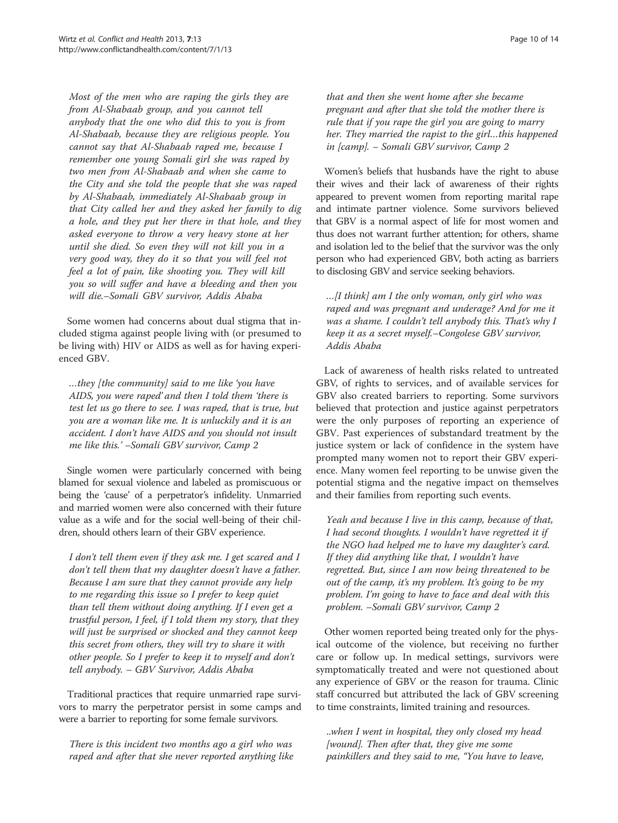Most of the men who are raping the girls they are from Al-Shabaab group, and you cannot tell anybody that the one who did this to you is from Al-Shabaab, because they are religious people. You cannot say that Al-Shabaab raped me, because I remember one young Somali girl she was raped by two men from Al-Shabaab and when she came to the City and she told the people that she was raped by Al-Shabaab, immediately Al-Shabaab group in that City called her and they asked her family to dig a hole, and they put her there in that hole, and they asked everyone to throw a very heavy stone at her until she died. So even they will not kill you in a very good way, they do it so that you will feel not feel a lot of pain, like shooting you. They will kill you so will suffer and have a bleeding and then you will die.–Somali GBV survivor, Addis Ababa

Some women had concerns about dual stigma that included stigma against people living with (or presumed to be living with) HIV or AIDS as well as for having experienced GBV.

…they [the community] said to me like 'you have AIDS, you were raped' and then I told them 'there is test let us go there to see. I was raped, that is true, but you are a woman like me. It is unluckily and it is an accident. I don't have AIDS and you should not insult me like this.' –Somali GBV survivor, Camp 2

Single women were particularly concerned with being blamed for sexual violence and labeled as promiscuous or being the 'cause' of a perpetrator's infidelity. Unmarried and married women were also concerned with their future value as a wife and for the social well-being of their children, should others learn of their GBV experience.

I don't tell them even if they ask me. I get scared and I don't tell them that my daughter doesn't have a father. Because I am sure that they cannot provide any help to me regarding this issue so I prefer to keep quiet than tell them without doing anything. If I even get a trustful person, I feel, if I told them my story, that they will just be surprised or shocked and they cannot keep this secret from others, they will try to share it with other people. So I prefer to keep it to myself and don't tell anybody. – GBV Survivor, Addis Ababa

Traditional practices that require unmarried rape survivors to marry the perpetrator persist in some camps and were a barrier to reporting for some female survivors.

There is this incident two months ago a girl who was raped and after that she never reported anything like that and then she went home after she became pregnant and after that she told the mother there is rule that if you rape the girl you are going to marry her. They married the rapist to the girl…this happened in [camp]. – Somali GBV survivor, Camp 2

Women's beliefs that husbands have the right to abuse their wives and their lack of awareness of their rights appeared to prevent women from reporting marital rape and intimate partner violence. Some survivors believed that GBV is a normal aspect of life for most women and thus does not warrant further attention; for others, shame and isolation led to the belief that the survivor was the only person who had experienced GBV, both acting as barriers to disclosing GBV and service seeking behaviors.

…[I think] am I the only woman, only girl who was raped and was pregnant and underage? And for me it was a shame. I couldn't tell anybody this. That's why I keep it as a secret myself.–Congolese GBV survivor, Addis Ababa

Lack of awareness of health risks related to untreated GBV, of rights to services, and of available services for GBV also created barriers to reporting. Some survivors believed that protection and justice against perpetrators were the only purposes of reporting an experience of GBV. Past experiences of substandard treatment by the justice system or lack of confidence in the system have prompted many women not to report their GBV experience. Many women feel reporting to be unwise given the potential stigma and the negative impact on themselves and their families from reporting such events.

Yeah and because I live in this camp, because of that, I had second thoughts. I wouldn't have regretted it if the NGO had helped me to have my daughter's card. If they did anything like that, I wouldn't have regretted. But, since I am now being threatened to be out of the camp, it's my problem. It's going to be my problem. I'm going to have to face and deal with this problem. –Somali GBV survivor, Camp 2

Other women reported being treated only for the physical outcome of the violence, but receiving no further care or follow up. In medical settings, survivors were symptomatically treated and were not questioned about any experience of GBV or the reason for trauma. Clinic staff concurred but attributed the lack of GBV screening to time constraints, limited training and resources.

..when I went in hospital, they only closed my head [wound]. Then after that, they give me some painkillers and they said to me, "You have to leave,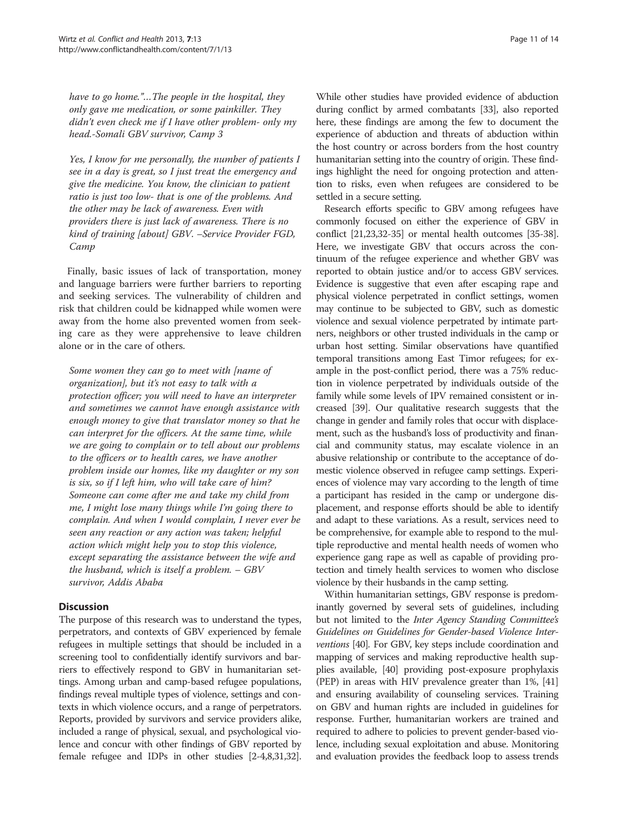have to go home."…The people in the hospital, they only gave me medication, or some painkiller. They didn't even check me if I have other problem- only my head.-Somali GBV survivor, Camp 3

Yes, I know for me personally, the number of patients I see in a day is great, so I just treat the emergency and give the medicine. You know, the clinician to patient ratio is just too low- that is one of the problems. And the other may be lack of awareness. Even with providers there is just lack of awareness. There is no kind of training [about] GBV. –Service Provider FGD, Camp

Finally, basic issues of lack of transportation, money and language barriers were further barriers to reporting and seeking services. The vulnerability of children and risk that children could be kidnapped while women were away from the home also prevented women from seeking care as they were apprehensive to leave children alone or in the care of others.

Some women they can go to meet with [name of organization], but it's not easy to talk with a protection officer; you will need to have an interpreter and sometimes we cannot have enough assistance with enough money to give that translator money so that he can interpret for the officers. At the same time, while we are going to complain or to tell about our problems to the officers or to health cares, we have another problem inside our homes, like my daughter or my son is six, so if I left him, who will take care of him? Someone can come after me and take my child from me, I might lose many things while I'm going there to complain. And when I would complain, I never ever be seen any reaction or any action was taken; helpful action which might help you to stop this violence, except separating the assistance between the wife and the husband, which is itself a problem.  $-$  GBV survivor, Addis Ababa

# **Discussion**

The purpose of this research was to understand the types, perpetrators, and contexts of GBV experienced by female refugees in multiple settings that should be included in a screening tool to confidentially identify survivors and barriers to effectively respond to GBV in humanitarian settings. Among urban and camp-based refugee populations, findings reveal multiple types of violence, settings and contexts in which violence occurs, and a range of perpetrators. Reports, provided by survivors and service providers alike, included a range of physical, sexual, and psychological violence and concur with other findings of GBV reported by female refugee and IDPs in other studies [[2](#page-12-0)-[4,8](#page-12-0)[,31,32](#page-13-0)].

While other studies have provided evidence of abduction during conflict by armed combatants [[33](#page-13-0)], also reported here, these findings are among the few to document the experience of abduction and threats of abduction within the host country or across borders from the host country humanitarian setting into the country of origin. These findings highlight the need for ongoing protection and attention to risks, even when refugees are considered to be settled in a secure setting.

Research efforts specific to GBV among refugees have commonly focused on either the experience of GBV in conflict [\[21,23,32-35\]](#page-13-0) or mental health outcomes [\[35-38](#page-13-0)]. Here, we investigate GBV that occurs across the continuum of the refugee experience and whether GBV was reported to obtain justice and/or to access GBV services. Evidence is suggestive that even after escaping rape and physical violence perpetrated in conflict settings, women may continue to be subjected to GBV, such as domestic violence and sexual violence perpetrated by intimate partners, neighbors or other trusted individuals in the camp or urban host setting. Similar observations have quantified temporal transitions among East Timor refugees; for example in the post-conflict period, there was a 75% reduction in violence perpetrated by individuals outside of the family while some levels of IPV remained consistent or increased [\[39\]](#page-13-0). Our qualitative research suggests that the change in gender and family roles that occur with displacement, such as the husband's loss of productivity and financial and community status, may escalate violence in an abusive relationship or contribute to the acceptance of domestic violence observed in refugee camp settings. Experiences of violence may vary according to the length of time a participant has resided in the camp or undergone displacement, and response efforts should be able to identify and adapt to these variations. As a result, services need to be comprehensive, for example able to respond to the multiple reproductive and mental health needs of women who experience gang rape as well as capable of providing protection and timely health services to women who disclose violence by their husbands in the camp setting.

Within humanitarian settings, GBV response is predominantly governed by several sets of guidelines, including but not limited to the Inter Agency Standing Committee's Guidelines on Guidelines for Gender-based Violence Interventions [[40](#page-13-0)]. For GBV, key steps include coordination and mapping of services and making reproductive health supplies available, [[40](#page-13-0)] providing post-exposure prophylaxis (PEP) in areas with HIV prevalence greater than 1%, [\[41](#page-13-0)] and ensuring availability of counseling services. Training on GBV and human rights are included in guidelines for response. Further, humanitarian workers are trained and required to adhere to policies to prevent gender-based violence, including sexual exploitation and abuse. Monitoring and evaluation provides the feedback loop to assess trends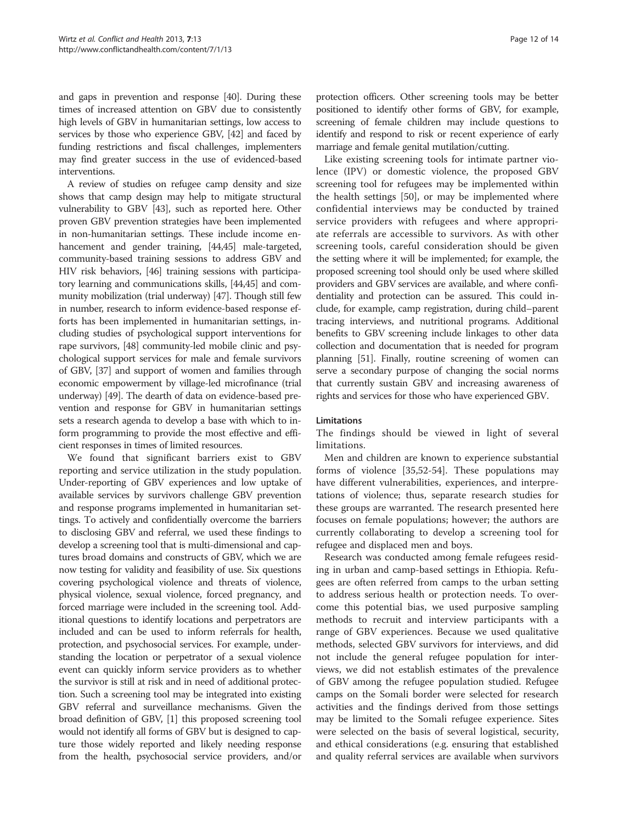and gaps in prevention and response [\[40](#page-13-0)]. During these times of increased attention on GBV due to consistently high levels of GBV in humanitarian settings, low access to services by those who experience GBV, [\[42\]](#page-13-0) and faced by funding restrictions and fiscal challenges, implementers may find greater success in the use of evidenced-based interventions.

A review of studies on refugee camp density and size shows that camp design may help to mitigate structural vulnerability to GBV [[43](#page-13-0)], such as reported here. Other proven GBV prevention strategies have been implemented in non-humanitarian settings. These include income enhancement and gender training, [[44,45\]](#page-13-0) male-targeted, community-based training sessions to address GBV and HIV risk behaviors, [[46](#page-13-0)] training sessions with participatory learning and communications skills, [\[44,45\]](#page-13-0) and community mobilization (trial underway) [[47](#page-13-0)]. Though still few in number, research to inform evidence-based response efforts has been implemented in humanitarian settings, including studies of psychological support interventions for rape survivors, [[48](#page-13-0)] community-led mobile clinic and psychological support services for male and female survivors of GBV, [\[37](#page-13-0)] and support of women and families through economic empowerment by village-led microfinance (trial underway) [\[49\]](#page-13-0). The dearth of data on evidence-based prevention and response for GBV in humanitarian settings sets a research agenda to develop a base with which to inform programming to provide the most effective and efficient responses in times of limited resources.

We found that significant barriers exist to GBV reporting and service utilization in the study population. Under-reporting of GBV experiences and low uptake of available services by survivors challenge GBV prevention and response programs implemented in humanitarian settings. To actively and confidentially overcome the barriers to disclosing GBV and referral, we used these findings to develop a screening tool that is multi-dimensional and captures broad domains and constructs of GBV, which we are now testing for validity and feasibility of use. Six questions covering psychological violence and threats of violence, physical violence, sexual violence, forced pregnancy, and forced marriage were included in the screening tool. Additional questions to identify locations and perpetrators are included and can be used to inform referrals for health, protection, and psychosocial services. For example, understanding the location or perpetrator of a sexual violence event can quickly inform service providers as to whether the survivor is still at risk and in need of additional protection. Such a screening tool may be integrated into existing GBV referral and surveillance mechanisms. Given the broad definition of GBV, [[1](#page-12-0)] this proposed screening tool would not identify all forms of GBV but is designed to capture those widely reported and likely needing response from the health, psychosocial service providers, and/or

protection officers. Other screening tools may be better positioned to identify other forms of GBV, for example, screening of female children may include questions to identify and respond to risk or recent experience of early marriage and female genital mutilation/cutting.

Like existing screening tools for intimate partner violence (IPV) or domestic violence, the proposed GBV screening tool for refugees may be implemented within the health settings [\[50](#page-13-0)], or may be implemented where confidential interviews may be conducted by trained service providers with refugees and where appropriate referrals are accessible to survivors. As with other screening tools, careful consideration should be given the setting where it will be implemented; for example, the proposed screening tool should only be used where skilled providers and GBV services are available, and where confidentiality and protection can be assured. This could include, for example, camp registration, during child–parent tracing interviews, and nutritional programs. Additional benefits to GBV screening include linkages to other data collection and documentation that is needed for program planning [[51](#page-13-0)]. Finally, routine screening of women can serve a secondary purpose of changing the social norms that currently sustain GBV and increasing awareness of rights and services for those who have experienced GBV.

#### **Limitations**

The findings should be viewed in light of several limitations.

Men and children are known to experience substantial forms of violence [\[35,52-54](#page-13-0)]. These populations may have different vulnerabilities, experiences, and interpretations of violence; thus, separate research studies for these groups are warranted. The research presented here focuses on female populations; however; the authors are currently collaborating to develop a screening tool for refugee and displaced men and boys.

Research was conducted among female refugees residing in urban and camp-based settings in Ethiopia. Refugees are often referred from camps to the urban setting to address serious health or protection needs. To overcome this potential bias, we used purposive sampling methods to recruit and interview participants with a range of GBV experiences. Because we used qualitative methods, selected GBV survivors for interviews, and did not include the general refugee population for interviews, we did not establish estimates of the prevalence of GBV among the refugee population studied. Refugee camps on the Somali border were selected for research activities and the findings derived from those settings may be limited to the Somali refugee experience. Sites were selected on the basis of several logistical, security, and ethical considerations (e.g. ensuring that established and quality referral services are available when survivors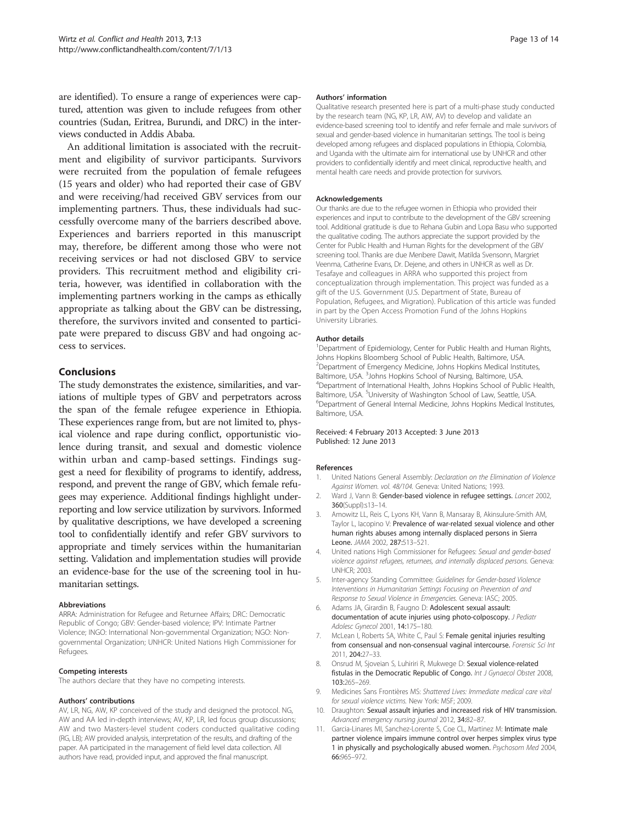<span id="page-12-0"></span>are identified). To ensure a range of experiences were captured, attention was given to include refugees from other countries (Sudan, Eritrea, Burundi, and DRC) in the interviews conducted in Addis Ababa.

An additional limitation is associated with the recruitment and eligibility of survivor participants. Survivors were recruited from the population of female refugees (15 years and older) who had reported their case of GBV and were receiving/had received GBV services from our implementing partners. Thus, these individuals had successfully overcome many of the barriers described above. Experiences and barriers reported in this manuscript may, therefore, be different among those who were not receiving services or had not disclosed GBV to service providers. This recruitment method and eligibility criteria, however, was identified in collaboration with the implementing partners working in the camps as ethically appropriate as talking about the GBV can be distressing, therefore, the survivors invited and consented to participate were prepared to discuss GBV and had ongoing access to services.

# Conclusions

The study demonstrates the existence, similarities, and variations of multiple types of GBV and perpetrators across the span of the female refugee experience in Ethiopia. These experiences range from, but are not limited to, physical violence and rape during conflict, opportunistic violence during transit, and sexual and domestic violence within urban and camp-based settings. Findings suggest a need for flexibility of programs to identify, address, respond, and prevent the range of GBV, which female refugees may experience. Additional findings highlight underreporting and low service utilization by survivors. Informed by qualitative descriptions, we have developed a screening tool to confidentially identify and refer GBV survivors to appropriate and timely services within the humanitarian setting. Validation and implementation studies will provide an evidence-base for the use of the screening tool in humanitarian settings.

#### Abbreviations

ARRA: Administration for Refugee and Returnee Affairs; DRC: Democratic Republic of Congo; GBV: Gender-based violence; IPV: Intimate Partner Violence; INGO: International Non-governmental Organization; NGO: Nongovernmental Organization; UNHCR: United Nations High Commissioner for Refugees.

#### Competing interests

The authors declare that they have no competing interests.

#### Authors' contributions

AV, LR, NG, AW, KP conceived of the study and designed the protocol. NG, AW and AA led in-depth interviews; AV, KP, LR, led focus group discussions; AW and two Masters-level student coders conducted qualitative coding (RG, LB); AW provided analysis, interpretation of the results, and drafting of the paper. AA participated in the management of field level data collection. All authors have read, provided input, and approved the final manuscript.

#### Authors' information

Qualitative research presented here is part of a multi-phase study conducted by the research team (NG, KP, LR, AW, AV) to develop and validate an evidence-based screening tool to identify and refer female and male survivors of sexual and gender-based violence in humanitarian settings. The tool is being developed among refugees and displaced populations in Ethiopia, Colombia, and Uganda with the ultimate aim for international use by UNHCR and other providers to confidentially identify and meet clinical, reproductive health, and mental health care needs and provide protection for survivors.

#### Acknowledgements

Our thanks are due to the refugee women in Ethiopia who provided their experiences and input to contribute to the development of the GBV screening tool. Additional gratitude is due to Rehana Gubin and Lopa Basu who supported the qualitative coding. The authors appreciate the support provided by the Center for Public Health and Human Rights for the development of the GBV screening tool. Thanks are due Menbere Dawit, Matilda Svensonn, Margriet Veenma, Catherine Evans, Dr. Dejene, and others in UNHCR as well as Dr. Tesafaye and colleagues in ARRA who supported this project from conceptualization through implementation. This project was funded as a gift of the U.S. Government (U.S. Department of State, Bureau of Population, Refugees, and Migration). Publication of this article was funded in part by the Open Access Promotion Fund of the Johns Hopkins University Libraries.

#### Author details

<sup>1</sup>Department of Epidemiology, Center for Public Health and Human Rights, Johns Hopkins Bloomberg School of Public Health, Baltimore, USA. <sup>2</sup> Department of Emergency Medicine, Johns Hopkins Medical Institutes, Baltimore, USA. <sup>3</sup>Johns Hopkins School of Nursing, Baltimore, USA.<br><sup>4</sup>Department of International Health, Johns Hopkins School of Pub <sup>4</sup>Department of International Health, Johns Hopkins School of Public Health, Baltimore, USA. <sup>5</sup>University of Washington School of Law, Seattle, USA.<br><sup>6</sup>Department of General Internal Medicine, Johns Hopkins Medical Inst Department of General Internal Medicine, Johns Hopkins Medical Institutes, Baltimore, USA.

#### Received: 4 February 2013 Accepted: 3 June 2013 Published: 12 June 2013

#### References

- United Nations General Assembly: Declaration on the Elimination of Violence Against Women. vol. 48/104. Geneva: United Nations; 1993.
- 2. Ward J, Vann B: Gender-based violence in refugee settings. Lancet 2002, 360(Suppl):s13–14.
- 3. Amowitz LL, Reis C, Lyons KH, Vann B, Mansaray B, Akinsulure-Smith AM, Taylor L, Iacopino V: Prevalence of war-related sexual violence and other human rights abuses among internally displaced persons in Sierra Leone. JAMA 2002, 287:513–521.
- 4. United nations High Commissioner for Refugees: Sexual and gender-based violence against refugees, returnees, and internally displaced persons. Geneva: UNHCR; 2003.
- 5. Inter-agency Standing Committee: Guidelines for Gender-based Violence Interventions in Humanitarian Settings Focusing on Prevention of and Response to Sexual Violence in Emergencies. Geneva: IASC; 2005.
- Adams JA, Girardin B, Faugno D: Adolescent sexual assault: documentation of acute injuries using photo-colposcopy. J Pediatr Adolesc Gynecol 2001, 14:175–180.
- 7. McLean I, Roberts SA, White C, Paul S: Female genital injuries resulting from consensual and non-consensual vaginal intercourse. Forensic Sci Int 2011, 204:27–33.
- 8. Onsrud M, Sjoveian S, Luhiriri R, Mukwege D: Sexual violence-related fistulas in the Democratic Republic of Congo. Int J Gynaecol Obstet 2008, 103:265–269.
- 9. Medicines Sans Frontières MS: Shattered Lives: Immediate medical care vital for sexual violence victims. New York: MSF; 2009.
- 10. Draughton: Sexual assault injuries and increased risk of HIV transmission. Advanced emergency nursing journal 2012, 34:82–87.
- 11. Garcia-Linares MI, Sanchez-Lorente S, Coe CL, Martinez M: Intimate male partner violence impairs immune control over herpes simplex virus type 1 in physically and psychologically abused women. Psychosom Med 2004, 66:965–972.